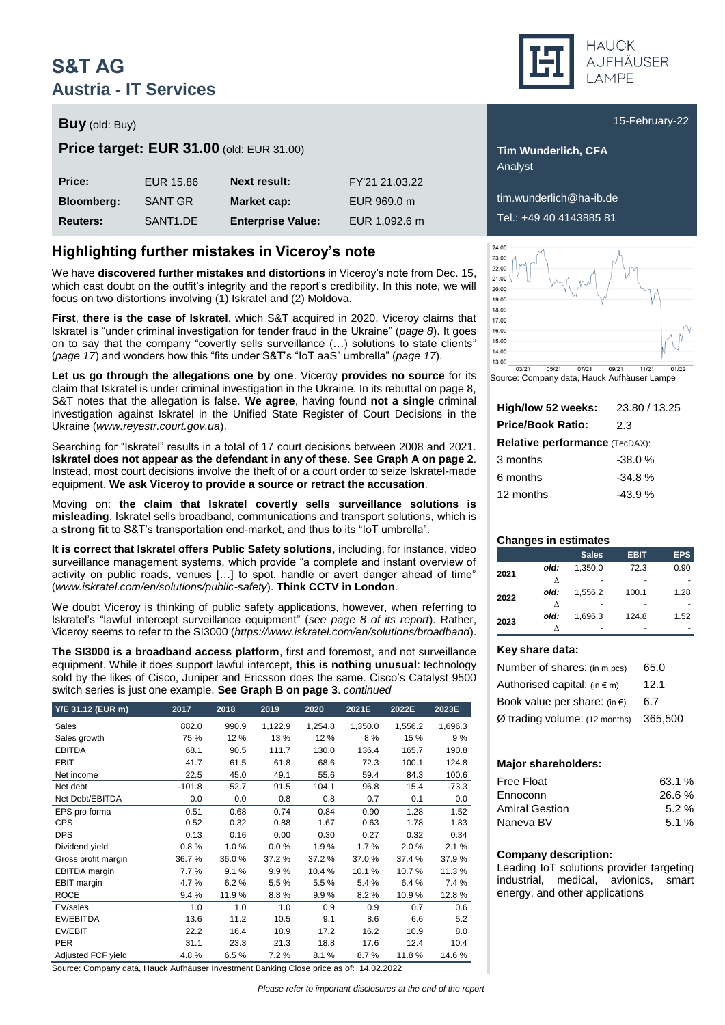# **S&T AG Austria - IT Services**

### **Buy** (old: Buy) **Buy** (old: Buy) **15-February-22**

### **Price target: EUR 31.00** (old: EUR 31.00) **Tim Wunderlich, CFA**

| Price:            | EUR 15.86             | <b>Next result:</b>      | FY'21 21.03.22 |
|-------------------|-----------------------|--------------------------|----------------|
| <b>Bloomberg:</b> | SANT GR               | Market cap:              | EUR 969.0 m    |
| <b>Reuters:</b>   | SANT <sub>1</sub> .DE | <b>Enterprise Value:</b> | EUR 1,092.6 m  |

### **Highlighting further mistakes in Viceroy's note**

We have **discovered further mistakes and distortions** in Viceroy's note from Dec. 15, which cast doubt on the outfit's integrity and the report's credibility. In this note, we will focus on two distortions involving (1) Iskratel and (2) Moldova.

**First**, **there is the case of Iskratel**, which S&T acquired in 2020. Viceroy claims that Iskratel is "under criminal investigation for tender fraud in the Ukraine" (*page 8*). It goes on to say that the company "covertly sells surveillance (…) solutions to state clients" (*page 17*) and wonders how this "fits under S&T's "IoT aaS" umbrella" (*page 17*).

**Let us go through the allegations one by one**. Viceroy **provides no source** for its claim that Iskratel is under criminal investigation in the Ukraine. In its rebuttal on page 8, S&T notes that the allegation is false. **We agree**, having found **not a single** criminal investigation against Iskratel in the Unified State Register of Court Decisions in the Ukraine (*www.reyestr.court.gov.ua*).

Searching for "Iskratel" results in a total of 17 court decisions between 2008 and 2021. **Iskratel does not appear as the defendant in any of these**. **See Graph A on page 2**. Instead, most court decisions involve the theft of or a court order to seize Iskratel-made equipment. **We ask Viceroy to provide a source or retract the accusation**.

Moving on: **the claim that Iskratel covertly sells surveillance solutions is misleading**. Iskratel sells broadband, communications and transport solutions, which is a **strong fit** to S&T's transportation end-market, and thus to its "IoT umbrella".

**It is correct that Iskratel offers Public Safety solutions**, including, for instance, video surveillance management systems, which provide "a complete and instant overview of activity on public roads, venues […] to spot, handle or avert danger ahead of time" (*[www.iskratel.com/en/solutions/public-safety](http://www.iskratel.com/en/solutions/public-safety)*). **Think CCTV in London**.

We doubt Viceroy is thinking of public safety applications, however, when referring to Iskratel's "lawful intercept surveillance equipment" (*see page 8 of its report*). Rather, Viceroy seems to refer to the SI3000 (*https://www.iskratel.com/en/solutions/broadband*).

**The SI3000 is a broadband access platform**, first and foremost, and not surveillance equipment. While it does support lawful intercept, **this is nothing unusual**: technology sold by the likes of Cisco, Juniper and Ericsson does the same. Cisco's Catalyst 9500 switch series is just one example. **See Graph B on page 3**. *continued*

| Y/E 31.12 (EUR m)    | 2017     | 2018    | 2019    | 2020    | 2021E   | 2022E   | 2023E   |
|----------------------|----------|---------|---------|---------|---------|---------|---------|
| Sales                | 882.0    | 990.9   | 1,122.9 | 1,254.8 | 1,350.0 | 1,556.2 | 1,696.3 |
| Sales growth         | 75 %     | 12 %    | 13 %    | 12%     | 8%      | 15 %    | 9%      |
| <b>EBITDA</b>        | 68.1     | 90.5    | 111.7   | 130.0   | 136.4   | 165.7   | 190.8   |
| EBIT                 | 41.7     | 61.5    | 61.8    | 68.6    | 72.3    | 100.1   | 124.8   |
| Net income           | 22.5     | 45.0    | 49.1    | 55.6    | 59.4    | 84.3    | 100.6   |
| Net debt             | $-101.8$ | $-52.7$ | 91.5    | 104.1   | 96.8    | 15.4    | $-73.3$ |
| Net Debt/EBITDA      | 0.0      | 0.0     | 0.8     | 0.8     | 0.7     | 0.1     | 0.0     |
| EPS pro forma        | 0.51     | 0.68    | 0.74    | 0.84    | 0.90    | 1.28    | 1.52    |
| <b>CPS</b>           | 0.52     | 0.32    | 0.88    | 1.67    | 0.63    | 1.78    | 1.83    |
| <b>DPS</b>           | 0.13     | 0.16    | 0.00    | 0.30    | 0.27    | 0.32    | 0.34    |
| Dividend yield       | 0.8%     | 1.0%    | 0.0%    | 1.9%    | 1.7%    | 2.0%    | 2.1%    |
| Gross profit margin  | 36.7%    | 36.0%   | 37.2%   | 37.2%   | 37.0%   | 37.4 %  | 37.9%   |
| <b>EBITDA</b> margin | 7.7%     | 9.1%    | 9.9%    | 10.4%   | 10.1%   | 10.7%   | 11.3%   |
| <b>EBIT</b> margin   | 4.7%     | 6.2%    | 5.5%    | 5.5%    | 5.4%    | 6.4%    | 7.4 %   |
| <b>ROCE</b>          | 9.4%     | 11.9%   | 8.8%    | 9.9%    | 8.2%    | 10.9%   | 12.8%   |
| EV/sales             | 1.0      | 1.0     | 1.0     | 0.9     | 0.9     | 0.7     | 0.6     |
| EV/EBITDA            | 13.6     | 11.2    | 10.5    | 9.1     | 8.6     | 6.6     | 5.2     |
| EV/EBIT              | 22.2     | 16.4    | 18.9    | 17.2    | 16.2    | 10.9    | 8.0     |
| <b>PER</b>           | 31.1     | 23.3    | 21.3    | 18.8    | 17.6    | 12.4    | 10.4    |
| Adjusted FCF yield   | 4.8%     | 6.5%    | 7.2%    | 8.1%    | 8.7%    | 11.8%   | 14.6%   |

Source: Company data, Hauck Aufhäuser Investment Banking Close price as of: 14.02.2022



Analyst

**Bloomberg:** SANT GR **Market cap:** EUR 969.0 m tim.wunderlich@ha-ib.de **Reuters:** SANT1.DE **Enterprise Value:** EUR 1,092.6 m Tel.: +49 40 4143885 81



Source: Company data, Hauck Aufhäuser Lampe

| High/low 52 weeks:                    | 23.80 / 13.25 |
|---------------------------------------|---------------|
| <b>Price/Book Ratio:</b>              | 2.3           |
| <b>Relative performance (TecDAX):</b> |               |
| 3 months                              | $-38.0%$      |
| 6 months                              | $-34.8%$      |
| 12 months                             | $-43.9%$      |
|                                       |               |

### **Changes in estimates**

|      |      | <b>Sales</b> | <b>EBIT</b> | <b>EPS</b> |
|------|------|--------------|-------------|------------|
| 2021 | old: | 1.350.0      | 72.3        | 0.90       |
| ٨    |      |              |             |            |
| 2022 | old: | 1,556.2      | 100.1       | 1.28       |
|      | л    |              |             |            |
| 2023 | old: | 1.696.3      | 124.8       | 1.52       |
|      |      |              |             |            |

### **Key share data:**

| Number of shares: (in m pcs)           | 65.0    |
|----------------------------------------|---------|
| Authorised capital: $(in \in m)$       | 12.1    |
| Book value per share: (in $\epsilon$ ) | 6.7     |
| $Ø$ trading volume: (12 months)        | 365,500 |

### **Major shareholders:**

| Free Float            | 63.1 % |
|-----------------------|--------|
| Ennoconn              | 26.6%  |
| <b>Amiral Gestion</b> | 5.2%   |
| Naneva BV             | 5.1%   |

### **Company description:**

Leading IoT solutions provider targeting industrial, medical, avionics, smart energy, and other applications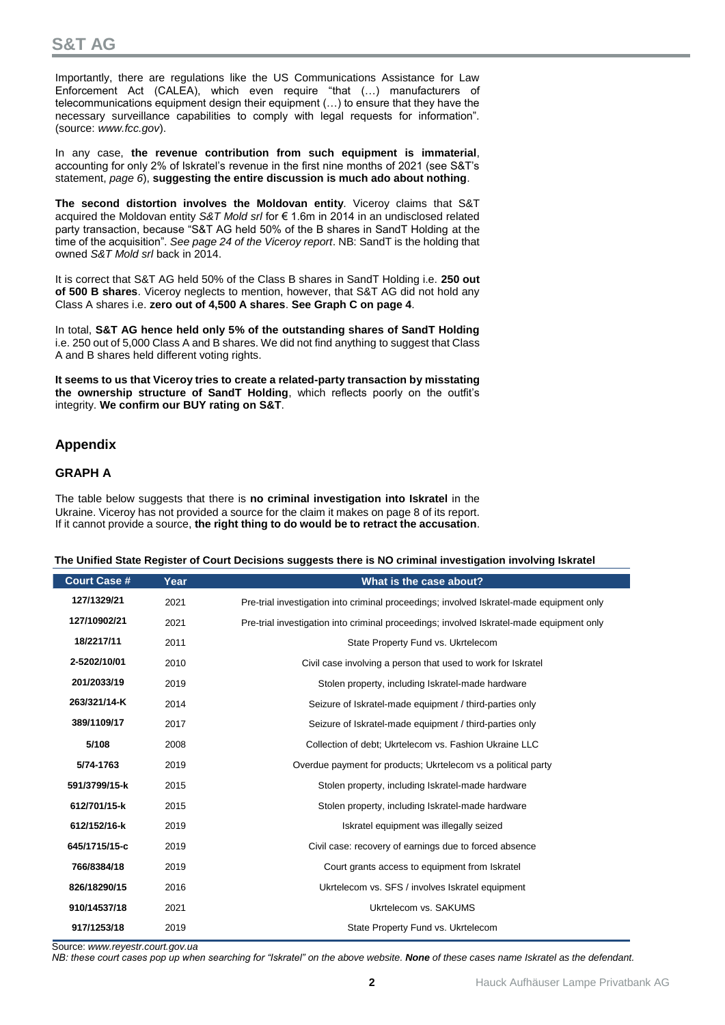Importantly, there are regulations like the US Communications Assistance for Law Enforcement Act (CALEA), which even require "that (…) manufacturers of telecommunications equipment design their equipment (…) to ensure that they have the necessary surveillance capabilities to comply with legal requests for information". (source: *www.fcc.gov*).

In any case, **the revenue contribution from such equipment is immaterial**, accounting for only 2% of Iskratel's revenue in the first nine months of 2021 (see S&T's statement, *page 6*), **suggesting the entire discussion is much ado about nothing**.

**The second distortion involves the Moldovan entity**. Viceroy claims that S&T acquired the Moldovan entity *S&T Mold srl* for € 1.6m in 2014 in an undisclosed related party transaction, because "S&T AG held 50% of the B shares in SandT Holding at the time of the acquisition". *See page 24 of the Viceroy report*. NB: SandT is the holding that owned *S&T Mold srl* back in 2014.

It is correct that S&T AG held 50% of the Class B shares in SandT Holding i.e. **250 out of 500 B shares**. Viceroy neglects to mention, however, that S&T AG did not hold any Class A shares i.e. **zero out of 4,500 A shares**. **See Graph C on page 4**.

In total, **S&T AG hence held only 5% of the outstanding shares of SandT Holding** i.e. 250 out of 5,000 Class A and B shares. We did not find anything to suggest that Class A and B shares held different voting rights.

**It seems to us that Viceroy tries to create a related-party transaction by misstating the ownership structure of SandT Holding**, which reflects poorly on the outfit's integrity. **We confirm our BUY rating on S&T**.

### **Appendix**

### **GRAPH A**

The table below suggests that there is **no criminal investigation into Iskratel** in the Ukraine. Viceroy has not provided a source for the claim it makes on page 8 of its report. If it cannot provide a source, **the right thing to do would be to retract the accusation**.

|  | The Unified State Register of Court Decisions suggests there is NO criminal investigation involving Iskratel |
|--|--------------------------------------------------------------------------------------------------------------|
|  |                                                                                                              |

| <b>Court Case #</b> | Year | What is the case about?                                                                  |
|---------------------|------|------------------------------------------------------------------------------------------|
| 127/1329/21         | 2021 | Pre-trial investigation into criminal proceedings; involved Iskratel-made equipment only |
| 127/10902/21        | 2021 | Pre-trial investigation into criminal proceedings; involved Iskratel-made equipment only |
| 18/2217/11          | 2011 | State Property Fund vs. Ukrtelecom                                                       |
| 2-5202/10/01        | 2010 | Civil case involving a person that used to work for Iskratel                             |
| 201/2033/19         | 2019 | Stolen property, including Iskratel-made hardware                                        |
| 263/321/14-K        | 2014 | Seizure of Iskratel-made equipment / third-parties only                                  |
| 389/1109/17         | 2017 | Seizure of Iskratel-made equipment / third-parties only                                  |
| 5/108               | 2008 | Collection of debt; Ukrtelecom vs. Fashion Ukraine LLC                                   |
| 5/74-1763           | 2019 | Overdue payment for products; Ukrtelecom vs a political party                            |
| 591/3799/15-k       | 2015 | Stolen property, including Iskratel-made hardware                                        |
| 612/701/15-k        | 2015 | Stolen property, including Iskratel-made hardware                                        |
| 612/152/16-k        | 2019 | Iskratel equipment was illegally seized                                                  |
| 645/1715/15-c       | 2019 | Civil case: recovery of earnings due to forced absence                                   |
| 766/8384/18         | 2019 | Court grants access to equipment from Iskratel                                           |
| 826/18290/15        | 2016 | Ukrtelecom vs. SFS / involves Iskratel equipment                                         |
| 910/14537/18        | 2021 | Ukrtelecom vs. SAKUMS                                                                    |
| 917/1253/18         | 2019 | State Property Fund vs. Ukrtelecom                                                       |

Source: *www.reyestr.court.gov.ua*

*NB: these court cases pop up when searching for "Iskratel" on the above website. None of these cases name Iskratel as the defendant.*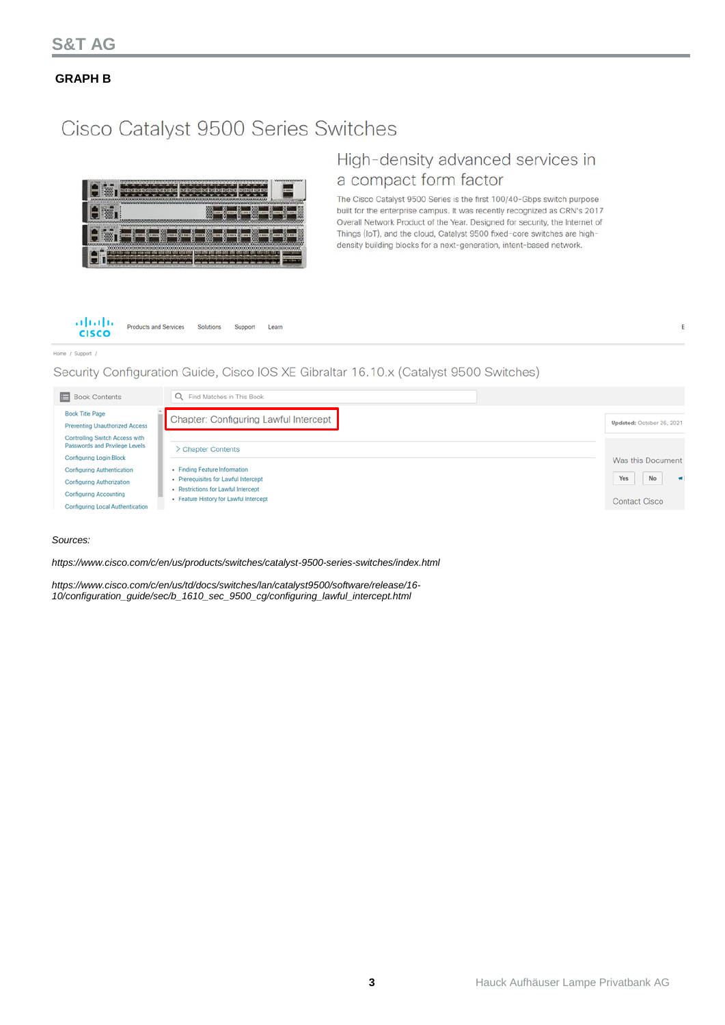**GRAPH B**

# Cisco Catalyst 9500 Series Switches



# High-density advanced services in a compact form factor

The Cisco Catalyst 9500 Series is the first 100/40-Gbps switch purpose built for the enterprise campus. It was recently recognized as CRN's 2017 Overall Network Product of the Year. Designed for security, the Internet of Things (IoT), and the cloud, Catalyst 9500 fixed-core switches are highdensity building blocks for a next-generation, intent-based network.

ċ



### Home / Support /

Security Configuration Guide, Cisco IOS XE Gibraltar 16.10.x (Catalyst 9500 Switches)



### *Sources:*

*<https://www.cisco.com/c/en/us/products/switches/catalyst-9500-series-switches/index.html>*

*https://www.cisco.com/c/en/us/td/docs/switches/lan/catalyst9500/software/release/16- 10/configuration\_guide/sec/b\_1610\_sec\_9500\_cg/configuring\_lawful\_intercept.html*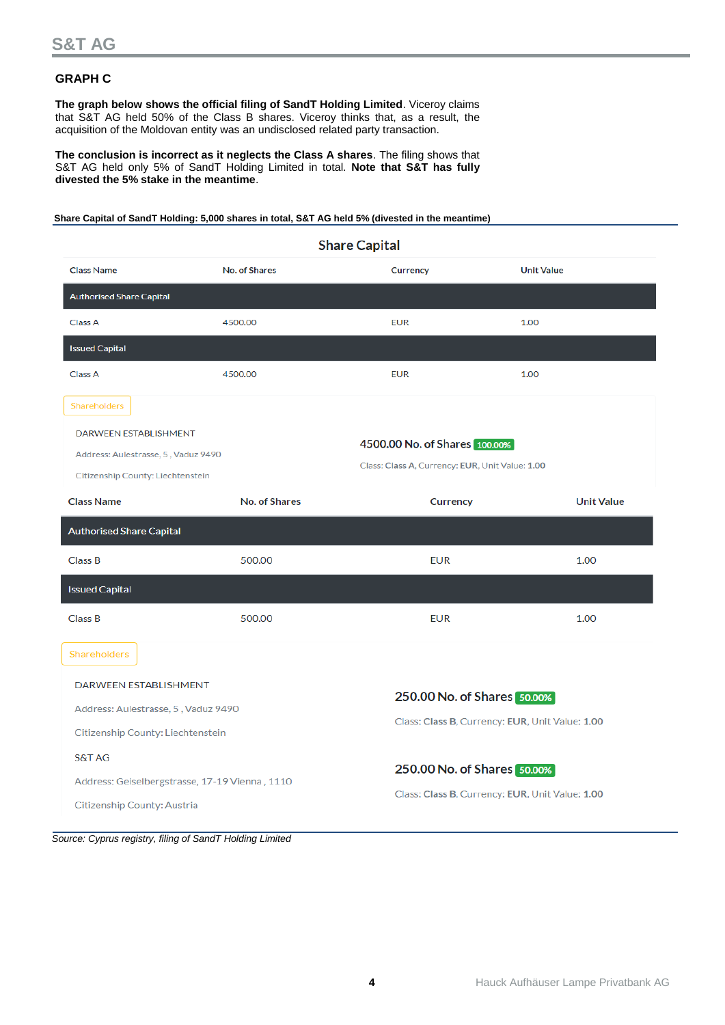### **GRAPH C**

**The graph below shows the official filing of SandT Holding Limited**. Viceroy claims that S&T AG held 50% of the Class B shares. Viceroy thinks that, as a result, the acquisition of the Moldovan entity was an undisclosed related party transaction.

**The conclusion is incorrect as it neglects the Class A shares**. The filing shows that S&T AG held only 5% of SandT Holding Limited in total. **Note that S&T has fully divested the 5% stake in the meantime**.

**Share Capital of SandT Holding: 5,000 shares in total, S&T AG held 5% (divested in the meantime)**

| <b>Share Capital</b>                                                                                                                                                                         |                                                |                             |                                                 |  |  |  |  |
|----------------------------------------------------------------------------------------------------------------------------------------------------------------------------------------------|------------------------------------------------|-----------------------------|-------------------------------------------------|--|--|--|--|
| <b>Class Name</b>                                                                                                                                                                            | <b>No. of Shares</b>                           | <b>Currency</b>             | <b>Unit Value</b>                               |  |  |  |  |
| <b>Authorised Share Capital</b>                                                                                                                                                              |                                                |                             |                                                 |  |  |  |  |
| Class A                                                                                                                                                                                      | 4500.00                                        | <b>EUR</b>                  | 1.00                                            |  |  |  |  |
| <b>Issued Capital</b>                                                                                                                                                                        |                                                |                             |                                                 |  |  |  |  |
| Class A                                                                                                                                                                                      | 4500.00                                        | <b>EUR</b>                  | 1.00                                            |  |  |  |  |
| Shareholders                                                                                                                                                                                 |                                                |                             |                                                 |  |  |  |  |
| <b>DARWEEN ESTABLISHMENT</b><br>4500.00 No. of Shares 100.00%<br>Address: Aulestrasse, 5, Vaduz 9490<br>Class: Class A, Currency: EUR, Unit Value: 1.00<br>Citizenship County: Liechtenstein |                                                |                             |                                                 |  |  |  |  |
| <b>Class Name</b>                                                                                                                                                                            | <b>No. of Shares</b>                           | <b>Currency</b>             | <b>Unit Value</b>                               |  |  |  |  |
| <b>Authorised Share Capital</b>                                                                                                                                                              |                                                |                             |                                                 |  |  |  |  |
| <b>Class B</b>                                                                                                                                                                               | 500.00                                         | <b>EUR</b>                  | 1.00                                            |  |  |  |  |
| <b>Issued Capital</b>                                                                                                                                                                        |                                                |                             |                                                 |  |  |  |  |
| Class B                                                                                                                                                                                      | 500.00                                         | <b>EUR</b>                  | 1.00                                            |  |  |  |  |
| Shareholders                                                                                                                                                                                 |                                                |                             |                                                 |  |  |  |  |
| DARWEEN ESTABLISHMENT                                                                                                                                                                        |                                                | 250.00 No. of Shares 50.00% |                                                 |  |  |  |  |
| Address: Aulestrasse, 5, Vaduz 9490                                                                                                                                                          |                                                |                             | Class: Class B, Currency: EUR, Unit Value: 1.00 |  |  |  |  |
| Citizenship County: Liechtenstein                                                                                                                                                            |                                                |                             |                                                 |  |  |  |  |
| <b>S&amp;T AG</b>                                                                                                                                                                            |                                                | 250.00 No. of Shares 50.00% |                                                 |  |  |  |  |
|                                                                                                                                                                                              | Address: Geiselbergstrasse, 17-19 Vienna, 1110 |                             | Class: Class B, Currency: EUR, Unit Value: 1.00 |  |  |  |  |
| Citizenship County: Austria                                                                                                                                                                  |                                                |                             |                                                 |  |  |  |  |

*Source: Cyprus registry, filing of SandT Holding Limited*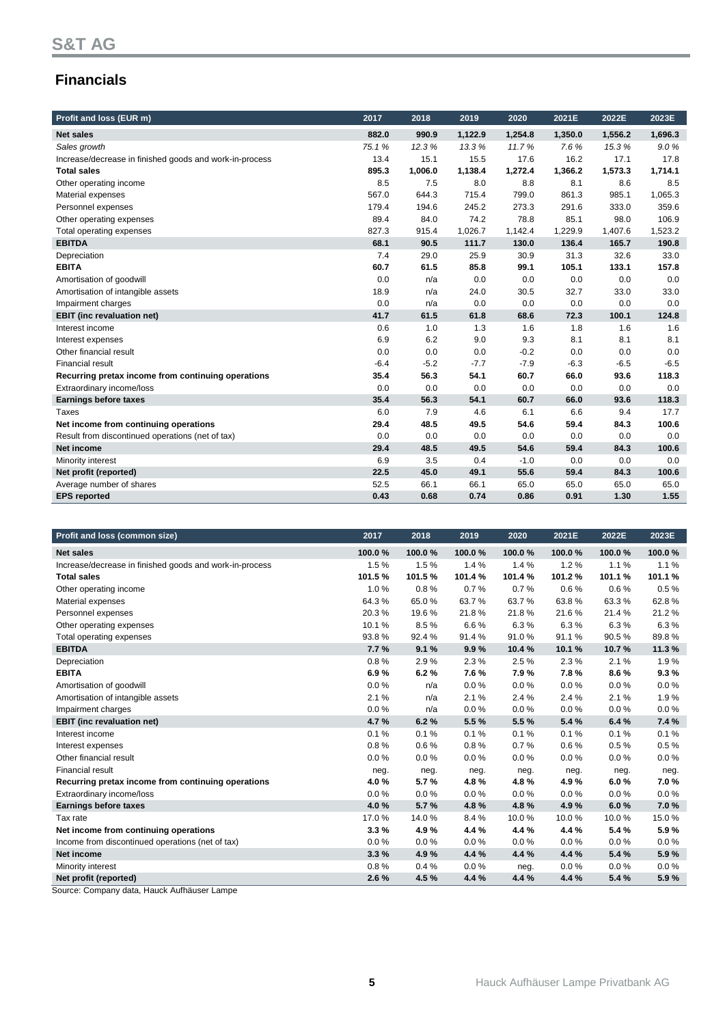# **Financials**

| Profit and loss (EUR m)                                 | 2017   | 2018    | 2019    | 2020    | 2021E   | 2022E   | 2023E   |
|---------------------------------------------------------|--------|---------|---------|---------|---------|---------|---------|
| <b>Net sales</b>                                        | 882.0  | 990.9   | 1,122.9 | 1,254.8 | 1,350.0 | 1,556.2 | 1,696.3 |
| Sales growth                                            | 75.1%  | 12.3%   | 13.3%   | 11.7%   | 7.6%    | 15.3%   | 9.0%    |
| Increase/decrease in finished goods and work-in-process | 13.4   | 15.1    | 15.5    | 17.6    | 16.2    | 17.1    | 17.8    |
| <b>Total sales</b>                                      | 895.3  | 1,006.0 | 1,138.4 | 1,272.4 | 1,366.2 | 1,573.3 | 1,714.1 |
| Other operating income                                  | 8.5    | 7.5     | 8.0     | 8.8     | 8.1     | 8.6     | 8.5     |
| Material expenses                                       | 567.0  | 644.3   | 715.4   | 799.0   | 861.3   | 985.1   | 1,065.3 |
| Personnel expenses                                      | 179.4  | 194.6   | 245.2   | 273.3   | 291.6   | 333.0   | 359.6   |
| Other operating expenses                                | 89.4   | 84.0    | 74.2    | 78.8    | 85.1    | 98.0    | 106.9   |
| Total operating expenses                                | 827.3  | 915.4   | 1,026.7 | 1,142.4 | 1,229.9 | 1,407.6 | 1,523.2 |
| <b>EBITDA</b>                                           | 68.1   | 90.5    | 111.7   | 130.0   | 136.4   | 165.7   | 190.8   |
| Depreciation                                            | 7.4    | 29.0    | 25.9    | 30.9    | 31.3    | 32.6    | 33.0    |
| <b>EBITA</b>                                            | 60.7   | 61.5    | 85.8    | 99.1    | 105.1   | 133.1   | 157.8   |
| Amortisation of goodwill                                | 0.0    | n/a     | 0.0     | 0.0     | 0.0     | 0.0     | 0.0     |
| Amortisation of intangible assets                       | 18.9   | n/a     | 24.0    | 30.5    | 32.7    | 33.0    | 33.0    |
| Impairment charges                                      | 0.0    | n/a     | 0.0     | 0.0     | 0.0     | 0.0     | 0.0     |
| <b>EBIT</b> (inc revaluation net)                       | 41.7   | 61.5    | 61.8    | 68.6    | 72.3    | 100.1   | 124.8   |
| Interest income                                         | 0.6    | 1.0     | 1.3     | 1.6     | 1.8     | 1.6     | 1.6     |
| Interest expenses                                       | 6.9    | 6.2     | 9.0     | 9.3     | 8.1     | 8.1     | 8.1     |
| Other financial result                                  | 0.0    | 0.0     | 0.0     | $-0.2$  | 0.0     | 0.0     | 0.0     |
| Financial result                                        | $-6.4$ | $-5.2$  | $-7.7$  | $-7.9$  | $-6.3$  | $-6.5$  | $-6.5$  |
| Recurring pretax income from continuing operations      | 35.4   | 56.3    | 54.1    | 60.7    | 66.0    | 93.6    | 118.3   |
| Extraordinary income/loss                               | 0.0    | 0.0     | 0.0     | 0.0     | 0.0     | 0.0     | 0.0     |
| <b>Earnings before taxes</b>                            | 35.4   | 56.3    | 54.1    | 60.7    | 66.0    | 93.6    | 118.3   |
| Taxes                                                   | 6.0    | 7.9     | 4.6     | 6.1     | 6.6     | 9.4     | 17.7    |
| Net income from continuing operations                   | 29.4   | 48.5    | 49.5    | 54.6    | 59.4    | 84.3    | 100.6   |
| Result from discontinued operations (net of tax)        | 0.0    | 0.0     | 0.0     | 0.0     | 0.0     | 0.0     | 0.0     |
| <b>Net income</b>                                       | 29.4   | 48.5    | 49.5    | 54.6    | 59.4    | 84.3    | 100.6   |
| Minority interest                                       | 6.9    | 3.5     | 0.4     | $-1.0$  | 0.0     | 0.0     | 0.0     |
| Net profit (reported)                                   | 22.5   | 45.0    | 49.1    | 55.6    | 59.4    | 84.3    | 100.6   |
| Average number of shares                                | 52.5   | 66.1    | 66.1    | 65.0    | 65.0    | 65.0    | 65.0    |
| <b>EPS</b> reported                                     | 0.43   | 0.68    | 0.74    | 0.86    | 0.91    | 1.30    | 1.55    |

| Profit and loss (common size)                           | 2017   | 2018   | 2019   | 2020     | 2021E  | 2022E   | 2023E  |
|---------------------------------------------------------|--------|--------|--------|----------|--------|---------|--------|
|                                                         |        |        |        |          |        |         |        |
| <b>Net sales</b>                                        | 100.0% | 100.0% | 100.0% | 100.0%   | 100.0% | 100.0%  | 100.0% |
| Increase/decrease in finished goods and work-in-process | 1.5%   | 1.5%   | 1.4%   | 1.4%     | 1.2%   | 1.1%    | 1.1%   |
| <b>Total sales</b>                                      | 101.5% | 101.5% | 101.4% | 101.4%   | 101.2% | 101.1 % | 101.1% |
| Other operating income                                  | 1.0%   | 0.8%   | 0.7%   | 0.7%     | 0.6%   | 0.6%    | 0.5%   |
| Material expenses                                       | 64.3%  | 65.0%  | 63.7%  | 63.7%    | 63.8%  | 63.3%   | 62.8%  |
| Personnel expenses                                      | 20.3%  | 19.6%  | 21.8%  | 21.8%    | 21.6%  | 21.4%   | 21.2%  |
| Other operating expenses                                | 10.1%  | 8.5%   | 6.6%   | 6.3%     | 6.3%   | 6.3%    | 6.3%   |
| Total operating expenses                                | 93.8%  | 92.4%  | 91.4%  | 91.0%    | 91.1%  | 90.5%   | 89.8%  |
| <b>EBITDA</b>                                           | 7.7%   | 9.1%   | 9.9%   | 10.4%    | 10.1%  | 10.7%   | 11.3%  |
| Depreciation                                            | 0.8%   | 2.9%   | 2.3%   | 2.5%     | 2.3%   | 2.1%    | 1.9%   |
| <b>EBITA</b>                                            | 6.9%   | 6.2%   | 7.6%   | 7.9%     | 7.8%   | 8.6%    | 9.3%   |
| Amortisation of goodwill                                | 0.0%   | n/a    | 0.0%   | 0.0%     | 0.0%   | $0.0\%$ | 0.0%   |
| Amortisation of intangible assets                       | 2.1%   | n/a    | 2.1%   | 2.4 %    | 2.4 %  | 2.1%    | 1.9%   |
| Impairment charges                                      | 0.0%   | n/a    | 0.0%   | 0.0%     | 0.0%   | $0.0\%$ | 0.0%   |
| <b>EBIT</b> (inc revaluation net)                       | 4.7%   | 6.2%   | 5.5%   | 5.5%     | 5.4%   | 6.4%    | 7.4 %  |
| Interest income                                         | 0.1%   | 0.1%   | 0.1%   | 0.1%     | 0.1%   | 0.1%    | 0.1%   |
| Interest expenses                                       | 0.8%   | 0.6%   | 0.8%   | 0.7%     | 0.6%   | 0.5%    | 0.5%   |
| Other financial result                                  | 0.0%   | 0.0%   | 0.0%   | $0.0 \%$ | 0.0%   | 0.0%    | 0.0%   |
| <b>Financial result</b>                                 | neg.   | neg.   | neg.   | neg.     | neg.   | neg.    | neg.   |
| Recurring pretax income from continuing operations      | 4.0%   | 5.7%   | 4.8%   | 4.8%     | 4.9%   | 6.0%    | 7.0%   |
| Extraordinary income/loss                               | 0.0%   | 0.0%   | 0.0%   | 0.0%     | 0.0%   | 0.0%    | 0.0%   |
| <b>Earnings before taxes</b>                            | 4.0%   | 5.7%   | 4.8%   | 4.8%     | 4.9%   | 6.0%    | 7.0%   |
| Tax rate                                                | 17.0%  | 14.0%  | 8.4%   | 10.0%    | 10.0%  | 10.0%   | 15.0%  |
| Net income from continuing operations                   | 3.3%   | 4.9%   | 4.4 %  | 4.4 %    | 4.4 %  | 5.4%    | 5.9%   |
| Income from discontinued operations (net of tax)        | 0.0%   | 0.0%   | 0.0%   | 0.0%     | 0.0%   | 0.0%    | 0.0%   |
| Net income                                              | 3.3%   | 4.9%   | 4.4 %  | 4.4 %    | 4.4 %  | 5.4%    | 5.9%   |
| Minority interest                                       | 0.8%   | 0.4%   | 0.0%   | neg.     | 0.0%   | 0.0%    | 0.0%   |
| Net profit (reported)                                   | 2.6%   | 4.5%   | 4.4 %  | 4.4 %    | 4.4 %  | 5.4%    | 5.9%   |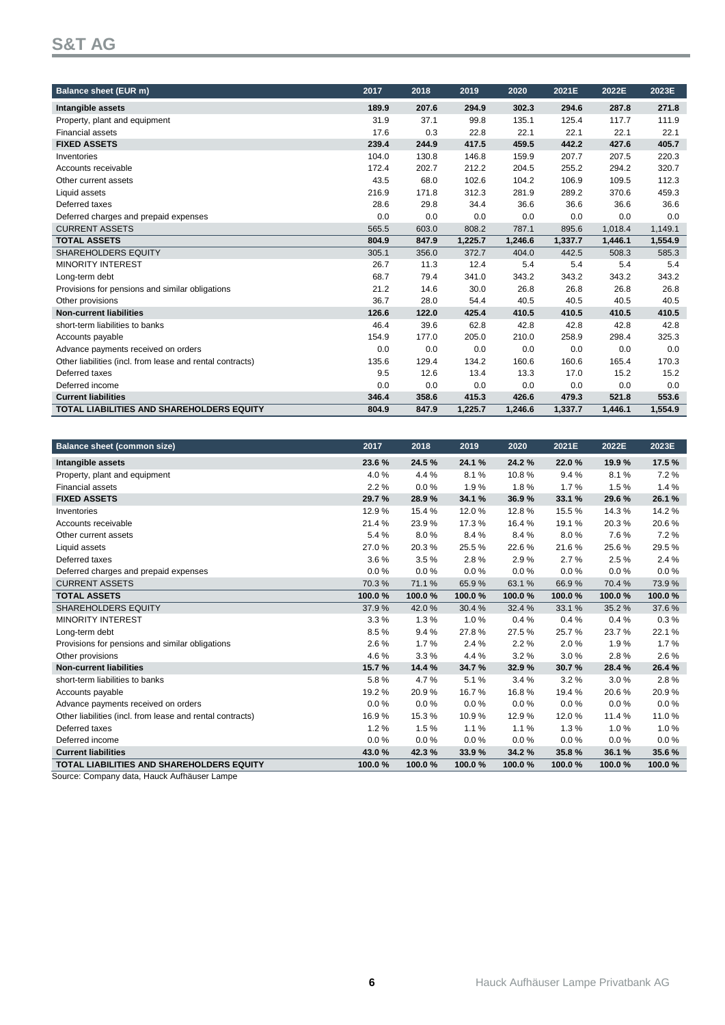# **S&T AG**

| <b>Balance sheet (EUR m)</b>                              | 2017  | 2018  | 2019    | 2020    | 2021E   | 2022E   | 2023E   |
|-----------------------------------------------------------|-------|-------|---------|---------|---------|---------|---------|
| Intangible assets                                         | 189.9 | 207.6 | 294.9   | 302.3   | 294.6   | 287.8   | 271.8   |
| Property, plant and equipment                             | 31.9  | 37.1  | 99.8    | 135.1   | 125.4   | 117.7   | 111.9   |
| <b>Financial assets</b>                                   | 17.6  | 0.3   | 22.8    | 22.1    | 22.1    | 22.1    | 22.1    |
| <b>FIXED ASSETS</b>                                       | 239.4 | 244.9 | 417.5   | 459.5   | 442.2   | 427.6   | 405.7   |
| Inventories                                               | 104.0 | 130.8 | 146.8   | 159.9   | 207.7   | 207.5   | 220.3   |
| Accounts receivable                                       | 172.4 | 202.7 | 212.2   | 204.5   | 255.2   | 294.2   | 320.7   |
| Other current assets                                      | 43.5  | 68.0  | 102.6   | 104.2   | 106.9   | 109.5   | 112.3   |
| Liquid assets                                             | 216.9 | 171.8 | 312.3   | 281.9   | 289.2   | 370.6   | 459.3   |
| Deferred taxes                                            | 28.6  | 29.8  | 34.4    | 36.6    | 36.6    | 36.6    | 36.6    |
| Deferred charges and prepaid expenses                     | 0.0   | 0.0   | 0.0     | 0.0     | 0.0     | 0.0     | 0.0     |
| <b>CURRENT ASSETS</b>                                     | 565.5 | 603.0 | 808.2   | 787.1   | 895.6   | 1,018.4 | 1,149.1 |
| <b>TOTAL ASSETS</b>                                       | 804.9 | 847.9 | 1.225.7 | 1,246.6 | 1,337.7 | 1,446.1 | 1,554.9 |
| <b>SHAREHOLDERS EQUITY</b>                                | 305.1 | 356.0 | 372.7   | 404.0   | 442.5   | 508.3   | 585.3   |
| <b>MINORITY INTEREST</b>                                  | 26.7  | 11.3  | 12.4    | 5.4     | 5.4     | 5.4     | 5.4     |
| Long-term debt                                            | 68.7  | 79.4  | 341.0   | 343.2   | 343.2   | 343.2   | 343.2   |
| Provisions for pensions and similar obligations           | 21.2  | 14.6  | 30.0    | 26.8    | 26.8    | 26.8    | 26.8    |
| Other provisions                                          | 36.7  | 28.0  | 54.4    | 40.5    | 40.5    | 40.5    | 40.5    |
| <b>Non-current liabilities</b>                            | 126.6 | 122.0 | 425.4   | 410.5   | 410.5   | 410.5   | 410.5   |
| short-term liabilities to banks                           | 46.4  | 39.6  | 62.8    | 42.8    | 42.8    | 42.8    | 42.8    |
| Accounts payable                                          | 154.9 | 177.0 | 205.0   | 210.0   | 258.9   | 298.4   | 325.3   |
| Advance payments received on orders                       | 0.0   | 0.0   | 0.0     | 0.0     | 0.0     | 0.0     | 0.0     |
| Other liabilities (incl. from lease and rental contracts) | 135.6 | 129.4 | 134.2   | 160.6   | 160.6   | 165.4   | 170.3   |
| Deferred taxes                                            | 9.5   | 12.6  | 13.4    | 13.3    | 17.0    | 15.2    | 15.2    |
| Deferred income                                           | 0.0   | 0.0   | 0.0     | 0.0     | 0.0     | 0.0     | 0.0     |
| <b>Current liabilities</b>                                | 346.4 | 358.6 | 415.3   | 426.6   | 479.3   | 521.8   | 553.6   |
| <b>TOTAL LIABILITIES AND SHAREHOLDERS EQUITY</b>          | 804.9 | 847.9 | 1.225.7 | 1,246.6 | 1,337.7 | 1,446.1 | 1,554.9 |

| <b>Balance sheet (common size)</b>                        | 2017   | 2018    | 2019   | 2020   | 2021E  | 2022E  | 2023E  |
|-----------------------------------------------------------|--------|---------|--------|--------|--------|--------|--------|
| Intangible assets                                         | 23.6%  | 24.5%   | 24.1 % | 24.2%  | 22.0%  | 19.9%  | 17.5 % |
| Property, plant and equipment                             | 4.0%   | 4.4%    | 8.1%   | 10.8%  | 9.4%   | 8.1%   | 7.2%   |
| <b>Financial assets</b>                                   | 2.2%   | $0.0\%$ | 1.9%   | 1.8%   | 1.7%   | 1.5%   | 1.4%   |
| <b>FIXED ASSETS</b>                                       | 29.7%  | 28.9%   | 34.1 % | 36.9%  | 33.1 % | 29.6%  | 26.1%  |
| Inventories                                               | 12.9%  | 15.4 %  | 12.0%  | 12.8%  | 15.5%  | 14.3%  | 14.2%  |
| Accounts receivable                                       | 21.4%  | 23.9%   | 17.3%  | 16.4%  | 19.1%  | 20.3%  | 20.6%  |
| Other current assets                                      | 5.4%   | 8.0%    | 8.4%   | 8.4%   | 8.0%   | 7.6%   | 7.2%   |
| Liquid assets                                             | 27.0%  | 20.3%   | 25.5%  | 22.6%  | 21.6%  | 25.6%  | 29.5%  |
| Deferred taxes                                            | 3.6%   | 3.5%    | 2.8%   | 2.9%   | 2.7%   | 2.5%   | 2.4%   |
| Deferred charges and prepaid expenses                     | 0.0%   | 0.0%    | 0.0%   | 0.0%   | 0.0%   | 0.0%   | 0.0%   |
| <b>CURRENT ASSETS</b>                                     | 70.3%  | 71.1%   | 65.9%  | 63.1%  | 66.9%  | 70.4%  | 73.9%  |
| <b>TOTAL ASSETS</b>                                       | 100.0% | 100.0%  | 100.0% | 100.0% | 100.0% | 100.0% | 100.0% |
| <b>SHAREHOLDERS EQUITY</b>                                | 37.9%  | 42.0%   | 30.4%  | 32.4%  | 33.1%  | 35.2%  | 37.6%  |
| <b>MINORITY INTEREST</b>                                  | 3.3%   | 1.3%    | 1.0%   | 0.4%   | 0.4%   | 0.4%   | 0.3%   |
| Long-term debt                                            | 8.5%   | 9.4%    | 27.8%  | 27.5%  | 25.7%  | 23.7%  | 22.1%  |
| Provisions for pensions and similar obligations           | 2.6%   | 1.7%    | 2.4 %  | 2.2%   | 2.0%   | 1.9%   | 1.7%   |
| Other provisions                                          | 4.6%   | 3.3%    | 4.4 %  | 3.2%   | 3.0%   | 2.8%   | 2.6%   |
| <b>Non-current liabilities</b>                            | 15.7%  | 14.4 %  | 34.7%  | 32.9%  | 30.7%  | 28.4%  | 26.4%  |
| short-term liabilities to banks                           | 5.8%   | 4.7%    | 5.1%   | 3.4%   | 3.2%   | 3.0%   | 2.8%   |
| Accounts payable                                          | 19.2%  | 20.9%   | 16.7%  | 16.8%  | 19.4 % | 20.6%  | 20.9%  |
| Advance payments received on orders                       | 0.0%   | 0.0%    | 0.0%   | 0.0%   | 0.0%   | 0.0%   | 0.0%   |
| Other liabilities (incl. from lease and rental contracts) | 16.9%  | 15.3%   | 10.9%  | 12.9%  | 12.0%  | 11.4 % | 11.0%  |
| Deferred taxes                                            | 1.2%   | 1.5%    | 1.1%   | 1.1%   | 1.3%   | 1.0%   | 1.0%   |
| Deferred income                                           | 0.0%   | 0.0%    | 0.0%   | 0.0%   | 0.0%   | 0.0%   | 0.0%   |
| <b>Current liabilities</b>                                | 43.0%  | 42.3%   | 33.9%  | 34.2%  | 35.8%  | 36.1 % | 35.6%  |
| <b>TOTAL LIABILITIES AND SHAREHOLDERS EQUITY</b>          | 100.0% | 100.0%  | 100.0% | 100.0% | 100.0% | 100.0% | 100.0% |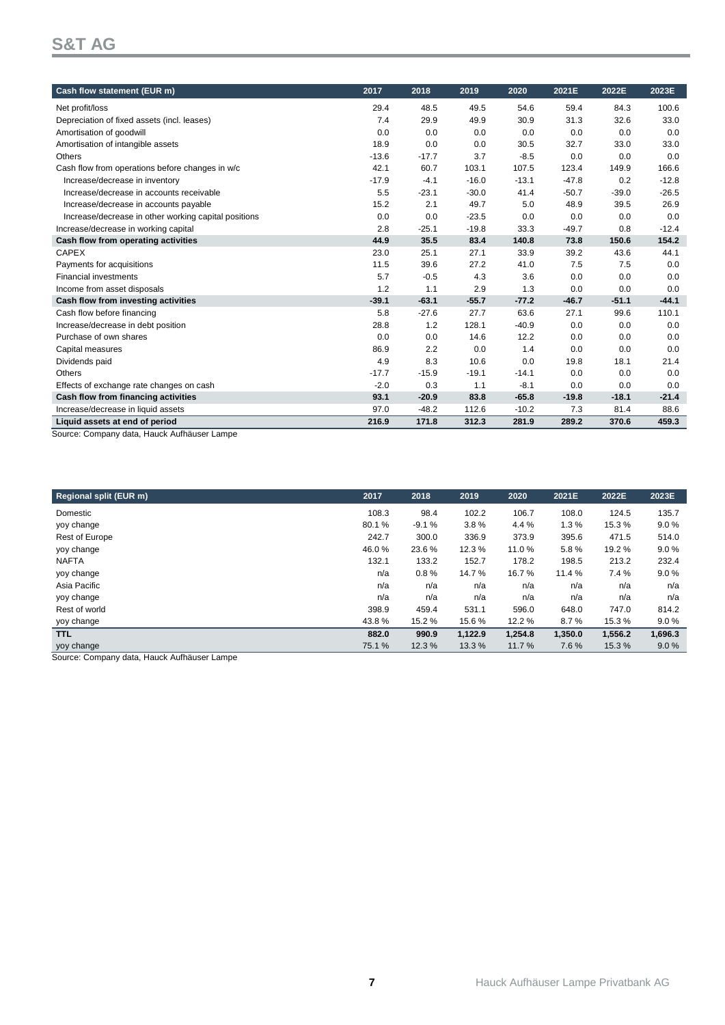# **S&T AG**

| Cash flow statement (EUR m)                                                   | 2017    | 2018    | 2019    | 2020    | 2021E   | 2022E   | 2023E   |
|-------------------------------------------------------------------------------|---------|---------|---------|---------|---------|---------|---------|
| Net profit/loss                                                               | 29.4    | 48.5    | 49.5    | 54.6    | 59.4    | 84.3    | 100.6   |
| Depreciation of fixed assets (incl. leases)                                   | 7.4     | 29.9    | 49.9    | 30.9    | 31.3    | 32.6    | 33.0    |
| Amortisation of goodwill                                                      | 0.0     | 0.0     | 0.0     | 0.0     | 0.0     | 0.0     | 0.0     |
| Amortisation of intangible assets                                             | 18.9    | 0.0     | 0.0     | 30.5    | 32.7    | 33.0    | 33.0    |
| Others                                                                        | $-13.6$ | $-17.7$ | 3.7     | $-8.5$  | 0.0     | 0.0     | 0.0     |
| Cash flow from operations before changes in w/c                               | 42.1    | 60.7    | 103.1   | 107.5   | 123.4   | 149.9   | 166.6   |
| Increase/decrease in inventory                                                | $-17.9$ | $-4.1$  | $-16.0$ | $-13.1$ | $-47.8$ | 0.2     | $-12.8$ |
| Increase/decrease in accounts receivable                                      | 5.5     | $-23.1$ | $-30.0$ | 41.4    | $-50.7$ | $-39.0$ | $-26.5$ |
| Increase/decrease in accounts payable                                         | 15.2    | 2.1     | 49.7    | 5.0     | 48.9    | 39.5    | 26.9    |
| Increase/decrease in other working capital positions                          | 0.0     | 0.0     | $-23.5$ | 0.0     | 0.0     | 0.0     | 0.0     |
| Increase/decrease in working capital                                          | 2.8     | $-25.1$ | $-19.8$ | 33.3    | $-49.7$ | 0.8     | $-12.4$ |
| Cash flow from operating activities                                           | 44.9    | 35.5    | 83.4    | 140.8   | 73.8    | 150.6   | 154.2   |
| CAPEX                                                                         | 23.0    | 25.1    | 27.1    | 33.9    | 39.2    | 43.6    | 44.1    |
| Payments for acquisitions                                                     | 11.5    | 39.6    | 27.2    | 41.0    | 7.5     | 7.5     | 0.0     |
| <b>Financial investments</b>                                                  | 5.7     | $-0.5$  | 4.3     | 3.6     | 0.0     | 0.0     | 0.0     |
| Income from asset disposals                                                   | 1.2     | 1.1     | 2.9     | 1.3     | 0.0     | 0.0     | 0.0     |
| Cash flow from investing activities                                           | $-39.1$ | $-63.1$ | $-55.7$ | $-77.2$ | $-46.7$ | $-51.1$ | $-44.1$ |
| Cash flow before financing                                                    | 5.8     | $-27.6$ | 27.7    | 63.6    | 27.1    | 99.6    | 110.1   |
| Increase/decrease in debt position                                            | 28.8    | 1.2     | 128.1   | $-40.9$ | 0.0     | 0.0     | 0.0     |
| Purchase of own shares                                                        | 0.0     | 0.0     | 14.6    | 12.2    | 0.0     | 0.0     | 0.0     |
| Capital measures                                                              | 86.9    | 2.2     | 0.0     | 1.4     | 0.0     | 0.0     | 0.0     |
| Dividends paid                                                                | 4.9     | 8.3     | 10.6    | 0.0     | 19.8    | 18.1    | 21.4    |
| <b>Others</b>                                                                 | $-17.7$ | $-15.9$ | $-19.1$ | $-14.1$ | 0.0     | 0.0     | 0.0     |
| Effects of exchange rate changes on cash                                      | $-2.0$  | 0.3     | 1.1     | $-8.1$  | 0.0     | 0.0     | 0.0     |
| Cash flow from financing activities                                           | 93.1    | $-20.9$ | 83.8    | $-65.8$ | $-19.8$ | $-18.1$ | $-21.4$ |
| Increase/decrease in liquid assets                                            | 97.0    | $-48.2$ | 112.6   | $-10.2$ | 7.3     | 81.4    | 88.6    |
| Liquid assets at end of period<br>Course: Componis data Hough Aufhäuser Lampe | 216.9   | 171.8   | 312.3   | 281.9   | 289.2   | 370.6   | 459.3   |

Source: Company data, Hauck Aufhäuser Lampe

| 2017   | 2018    | 2019    | 2020    | 2021E   | 2022E   | 2023E   |
|--------|---------|---------|---------|---------|---------|---------|
| 108.3  | 98.4    | 102.2   | 106.7   | 108.0   | 124.5   | 135.7   |
| 80.1%  | $-9.1%$ | 3.8%    | 4.4 %   | 1.3%    | 15.3%   | 9.0%    |
| 242.7  | 300.0   | 336.9   | 373.9   | 395.6   | 471.5   | 514.0   |
| 46.0%  | 23.6%   | 12.3%   | 11.0%   | 5.8%    | 19.2 %  | 9.0%    |
| 132.1  | 133.2   | 152.7   | 178.2   | 198.5   | 213.2   | 232.4   |
| n/a    | 0.8%    | 14.7%   | 16.7%   | 11.4 %  | 7.4%    | 9.0%    |
| n/a    | n/a     | n/a     | n/a     | n/a     | n/a     | n/a     |
| n/a    | n/a     | n/a     | n/a     | n/a     | n/a     | n/a     |
| 398.9  | 459.4   | 531.1   | 596.0   | 648.0   | 747.0   | 814.2   |
| 43.8%  | 15.2 %  | 15.6%   | 12.2 %  | 8.7%    | 15.3%   | 9.0%    |
| 882.0  | 990.9   | 1,122.9 | 1,254.8 | 1,350.0 | 1,556.2 | 1,696.3 |
| 75.1 % | 12.3%   | 13.3%   | 11.7%   | 7.6%    | 15.3%   | 9.0%    |
|        |         |         |         |         |         |         |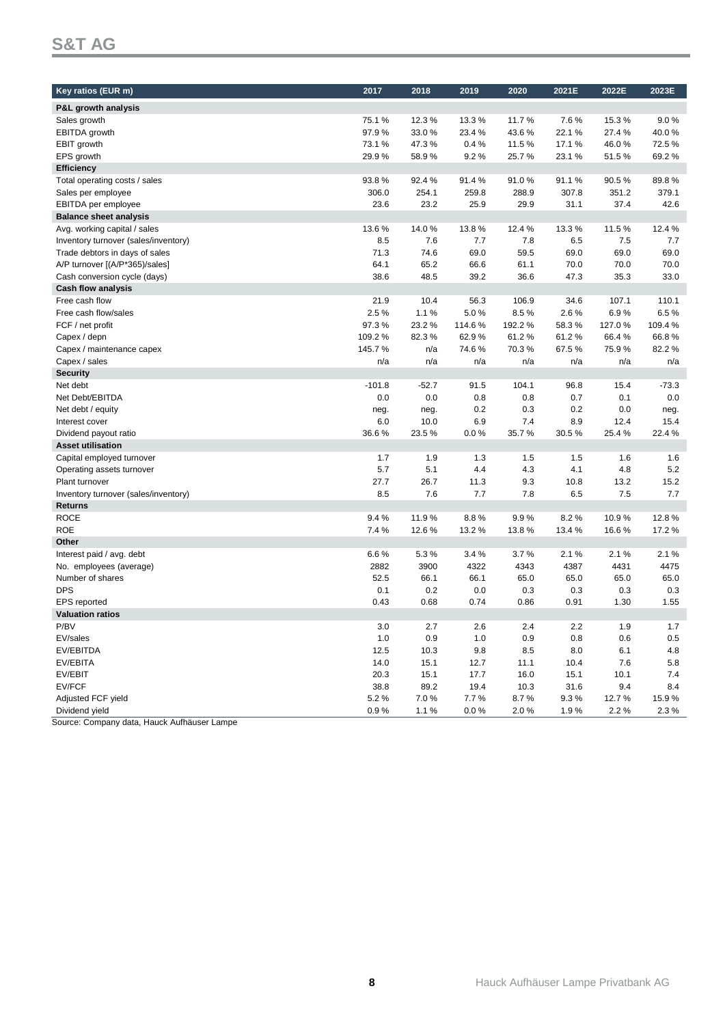# **S&T AG**

| Key ratios (EUR m)                   | 2017     | 2018    | 2019   | 2020   | 2021E  | 2022E  | 2023E   |
|--------------------------------------|----------|---------|--------|--------|--------|--------|---------|
|                                      |          |         |        |        |        |        |         |
| P&L growth analysis                  |          |         |        |        |        |        |         |
| Sales growth                         | 75.1%    | 12.3%   | 13.3%  | 11.7%  | 7.6%   | 15.3%  | 9.0%    |
| EBITDA growth                        | 97.9%    | 33.0%   | 23.4%  | 43.6%  | 22.1%  | 27.4%  | 40.0%   |
| EBIT growth                          | 73.1%    | 47.3%   | 0.4%   | 11.5%  | 17.1%  | 46.0%  | 72.5%   |
| EPS growth                           | 29.9%    | 58.9%   | 9.2%   | 25.7%  | 23.1%  | 51.5%  | 69.2%   |
| <b>Efficiency</b>                    |          |         |        |        |        |        |         |
| Total operating costs / sales        | 93.8%    | 92.4%   | 91.4%  | 91.0%  | 91.1%  | 90.5%  | 89.8%   |
| Sales per employee                   | 306.0    | 254.1   | 259.8  | 288.9  | 307.8  | 351.2  | 379.1   |
| EBITDA per employee                  | 23.6     | 23.2    | 25.9   | 29.9   | 31.1   | 37.4   | 42.6    |
| <b>Balance sheet analysis</b>        |          |         |        |        |        |        |         |
| Avg. working capital / sales         | 13.6%    | 14.0%   | 13.8%  | 12.4%  | 13.3%  | 11.5%  | 12.4%   |
| Inventory turnover (sales/inventory) | 8.5      | 7.6     | 7.7    | 7.8    | 6.5    | 7.5    | 7.7     |
| Trade debtors in days of sales       | 71.3     | 74.6    | 69.0   | 59.5   | 69.0   | 69.0   | 69.0    |
| A/P turnover [(A/P*365)/sales]       | 64.1     | 65.2    | 66.6   | 61.1   | 70.0   | 70.0   | 70.0    |
| Cash conversion cycle (days)         | 38.6     | 48.5    | 39.2   | 36.6   | 47.3   | 35.3   | 33.0    |
| <b>Cash flow analysis</b>            |          |         |        |        |        |        |         |
| Free cash flow                       | 21.9     | 10.4    | 56.3   | 106.9  | 34.6   | 107.1  | 110.1   |
| Free cash flow/sales                 | 2.5%     | 1.1%    | 5.0%   | 8.5%   | 2.6%   | 6.9%   | 6.5%    |
| FCF / net profit                     | 97.3%    | 23.2%   | 114.6% | 192.2% | 58.3%  | 127.0% | 109.4%  |
| Capex / depn                         | 109.2%   | 82.3%   | 62.9%  | 61.2%  | 61.2%  | 66.4%  | 66.8%   |
| Capex / maintenance capex            | 145.7%   | n/a     | 74.6%  | 70.3%  | 67.5%  | 75.9%  | 82.2%   |
| Capex / sales                        | n/a      | n/a     | n/a    | n/a    | n/a    | n/a    | n/a     |
| <b>Security</b>                      |          |         |        |        |        |        |         |
| Net debt                             | $-101.8$ | $-52.7$ | 91.5   | 104.1  | 96.8   | 15.4   | $-73.3$ |
| Net Debt/EBITDA                      | 0.0      | 0.0     | 0.8    | 0.8    | 0.7    | 0.1    | 0.0     |
| Net debt / equity                    | neg.     | neg.    | 0.2    | 0.3    | 0.2    | 0.0    | neg.    |
| Interest cover                       | 6.0      | 10.0    | 6.9    | 7.4    | 8.9    | 12.4   | 15.4    |
| Dividend payout ratio                | 36.6%    | 23.5%   | 0.0%   | 35.7%  | 30.5%  | 25.4%  | 22.4%   |
| <b>Asset utilisation</b>             |          |         |        |        |        |        |         |
| Capital employed turnover            | 1.7      | 1.9     | 1.3    | 1.5    | 1.5    | 1.6    | 1.6     |
| Operating assets turnover            | 5.7      | 5.1     | 4.4    | 4.3    | 4.1    | 4.8    | 5.2     |
| Plant turnover                       | 27.7     | 26.7    | 11.3   | 9.3    | 10.8   | 13.2   | 15.2    |
| Inventory turnover (sales/inventory) | 8.5      | 7.6     | 7.7    | 7.8    | 6.5    | 7.5    | 7.7     |
| <b>Returns</b>                       |          |         |        |        |        |        |         |
| <b>ROCE</b>                          | 9.4%     | 11.9%   | 8.8%   | 9.9%   | 8.2%   | 10.9%  | 12.8%   |
| <b>ROE</b>                           | 7.4%     | 12.6%   | 13.2%  | 13.8%  | 13.4 % | 16.6%  | 17.2%   |
| Other                                |          |         |        |        |        |        |         |
| Interest paid / avg. debt            | 6.6%     | 5.3%    | 3.4%   | 3.7%   | 2.1%   | 2.1%   | 2.1%    |
| No. employees (average)              | 2882     | 3900    | 4322   | 4343   | 4387   | 4431   | 4475    |
| Number of shares                     | 52.5     | 66.1    | 66.1   | 65.0   | 65.0   | 65.0   | 65.0    |
| <b>DPS</b>                           | 0.1      | 0.2     | 0.0    | 0.3    | 0.3    | 0.3    | 0.3     |
| <b>EPS</b> reported                  | 0.43     | 0.68    | 0.74   | 0.86   | 0.91   | 1.30   | 1.55    |
| <b>Valuation ratios</b>              |          |         |        |        |        |        |         |
| P/BV                                 | 3.0      | 2.7     | 2.6    | 2.4    | 2.2    | 1.9    | 1.7     |
| EV/sales                             | 1.0      | 0.9     | 1.0    | 0.9    | 0.8    | 0.6    | 0.5     |
| EV/EBITDA                            | 12.5     | 10.3    | 9.8    | 8.5    | 8.0    | 6.1    | 4.8     |
| EV/EBITA                             | 14.0     | 15.1    | 12.7   | 11.1   | 10.4   | 7.6    | 5.8     |
| EV/EBIT                              | 20.3     | 15.1    | 17.7   | 16.0   | 15.1   | 10.1   | 7.4     |
| EV/FCF                               | 38.8     | 89.2    | 19.4   | 10.3   | 31.6   | 9.4    | 8.4     |
| Adjusted FCF yield                   | 5.2%     | 7.0%    | 7.7%   | 8.7%   | 9.3%   | 12.7%  | 15.9%   |
| Dividend yield                       | 0.9%     | 1.1%    | 0.0%   | 2.0%   | 1.9%   | 2.2%   | 2.3%    |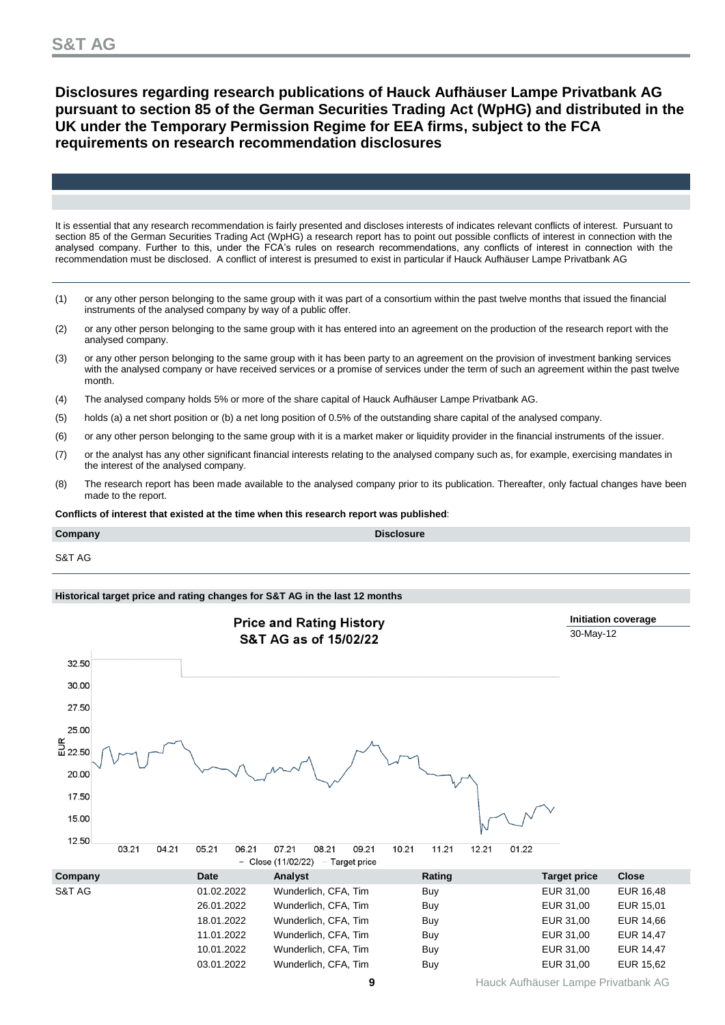### **Disclosures regarding research publications of Hauck Aufhäuser Lampe Privatbank AG pursuant to section 85 of the German Securities Trading Act (WpHG) and distributed in the UK under the Temporary Permission Regime for EEA firms, subject to the FCA requirements on research recommendation disclosures**

It is essential that any research recommendation is fairly presented and discloses interests of indicates relevant conflicts of interest. Pursuant to section 85 of the German Securities Trading Act (WpHG) a research report has to point out possible conflicts of interest in connection with the analysed company. Further to this, under the FCA's rules on research recommendations, any conflicts of interest in connection with the recommendation must be disclosed. A conflict of interest is presumed to exist in particular if Hauck Aufhäuser Lampe Privatbank AG

- (1) or any other person belonging to the same group with it was part of a consortium within the past twelve months that issued the financial instruments of the analysed company by way of a public offer.
- (2) or any other person belonging to the same group with it has entered into an agreement on the production of the research report with the analysed company.
- (3) or any other person belonging to the same group with it has been party to an agreement on the provision of investment banking services with the analysed company or have received services or a promise of services under the term of such an agreement within the past twelve month.
- (4) The analysed company holds 5% or more of the share capital of Hauck Aufhäuser Lampe Privatbank AG.
- (5) holds (a) a net short position or (b) a net long position of 0.5% of the outstanding share capital of the analysed company.
- (6) or any other person belonging to the same group with it is a market maker or liquidity provider in the financial instruments of the issuer.
- (7) or the analyst has any other significant financial interests relating to the analysed company such as, for example, exercising mandates in the interest of the analysed company.
- (8) The research report has been made available to the analysed company prior to its publication. Thereafter, only factual changes have been made to the report.

**Conflicts of interest that existed at the time when this research report was published**:

**Company Disclosure**

S&T AG

### **Historical target price and rating changes for S&T AG in the last 12 months**

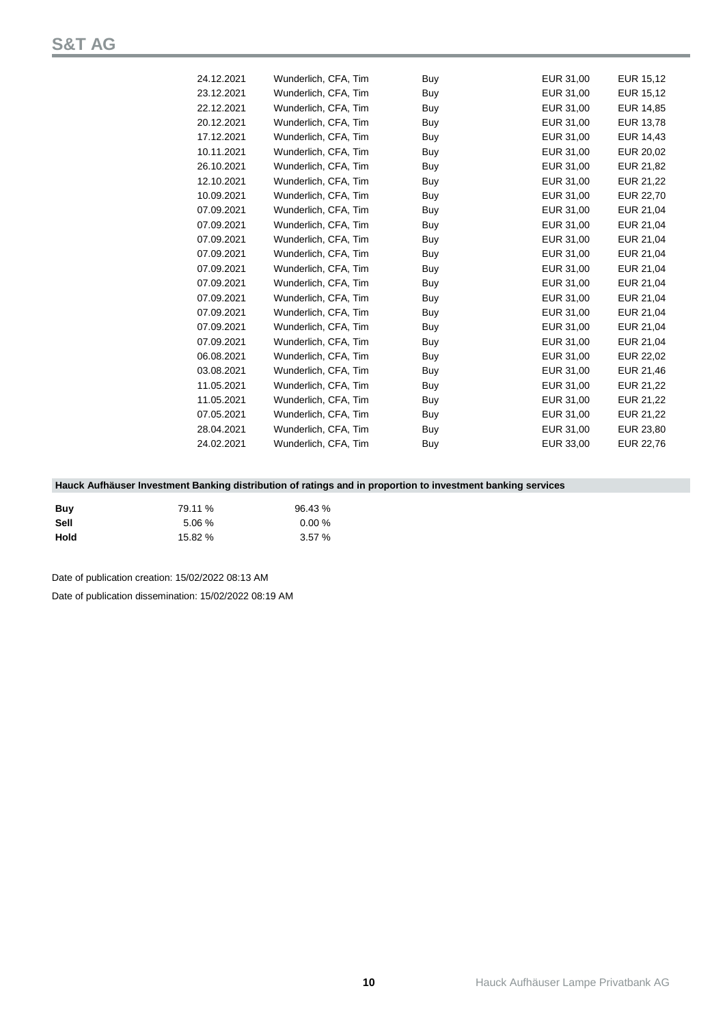| 24.12.2021 | Wunderlich, CFA, Tim | Buy | EUR 31,00 | EUR 15,12 |
|------------|----------------------|-----|-----------|-----------|
| 23.12.2021 | Wunderlich, CFA, Tim | Buy | EUR 31,00 | EUR 15,12 |
| 22.12.2021 | Wunderlich, CFA, Tim | Buy | EUR 31,00 | EUR 14,85 |
| 20.12.2021 | Wunderlich, CFA, Tim | Buy | EUR 31,00 | EUR 13,78 |
| 17.12.2021 | Wunderlich, CFA, Tim | Buy | EUR 31,00 | EUR 14,43 |
| 10.11.2021 | Wunderlich, CFA, Tim | Buy | EUR 31,00 | EUR 20,02 |
| 26.10.2021 | Wunderlich, CFA, Tim | Buy | EUR 31,00 | EUR 21,82 |
| 12.10.2021 | Wunderlich, CFA, Tim | Buy | EUR 31,00 | EUR 21,22 |
| 10.09.2021 | Wunderlich, CFA, Tim | Buy | EUR 31,00 | EUR 22,70 |
| 07.09.2021 | Wunderlich, CFA, Tim | Buy | EUR 31,00 | EUR 21,04 |
| 07.09.2021 | Wunderlich, CFA, Tim | Buy | EUR 31,00 | EUR 21,04 |
| 07.09.2021 | Wunderlich, CFA, Tim | Buy | EUR 31,00 | EUR 21,04 |
| 07.09.2021 | Wunderlich, CFA, Tim | Buy | EUR 31,00 | EUR 21,04 |
| 07.09.2021 | Wunderlich, CFA, Tim | Buy | EUR 31,00 | EUR 21,04 |
| 07.09.2021 | Wunderlich, CFA, Tim | Buy | EUR 31,00 | EUR 21,04 |
| 07.09.2021 | Wunderlich, CFA, Tim | Buy | EUR 31,00 | EUR 21,04 |
| 07.09.2021 | Wunderlich, CFA, Tim | Buy | EUR 31,00 | EUR 21,04 |
| 07.09.2021 | Wunderlich, CFA, Tim | Buy | EUR 31,00 | EUR 21,04 |
| 07.09.2021 | Wunderlich, CFA, Tim | Buy | EUR 31,00 | EUR 21,04 |
| 06.08.2021 | Wunderlich, CFA, Tim | Buy | EUR 31,00 | EUR 22,02 |
| 03.08.2021 | Wunderlich, CFA, Tim | Buy | EUR 31,00 | EUR 21,46 |
| 11.05.2021 | Wunderlich, CFA, Tim | Buy | EUR 31,00 | EUR 21,22 |
| 11.05.2021 | Wunderlich, CFA, Tim | Buy | EUR 31,00 | EUR 21,22 |
| 07.05.2021 | Wunderlich, CFA, Tim | Buy | EUR 31,00 | EUR 21,22 |
| 28.04.2021 | Wunderlich, CFA, Tim | Buy | EUR 31,00 | EUR 23,80 |
| 24.02.2021 | Wunderlich, CFA, Tim | Buy | EUR 33,00 | EUR 22,76 |
|            |                      |     |           |           |

### **Hauck Aufhäuser Investment Banking distribution of ratings and in proportion to investment banking services**

| Buv  | 79.11 %  | 96.43%   |
|------|----------|----------|
| Sell | $5.06\%$ | $0.00\%$ |
| Hold | 15.82 %  | 3.57%    |

Date of publication creation: 15/02/2022 08:13 AM

Date of publication dissemination: 15/02/2022 08:19 AM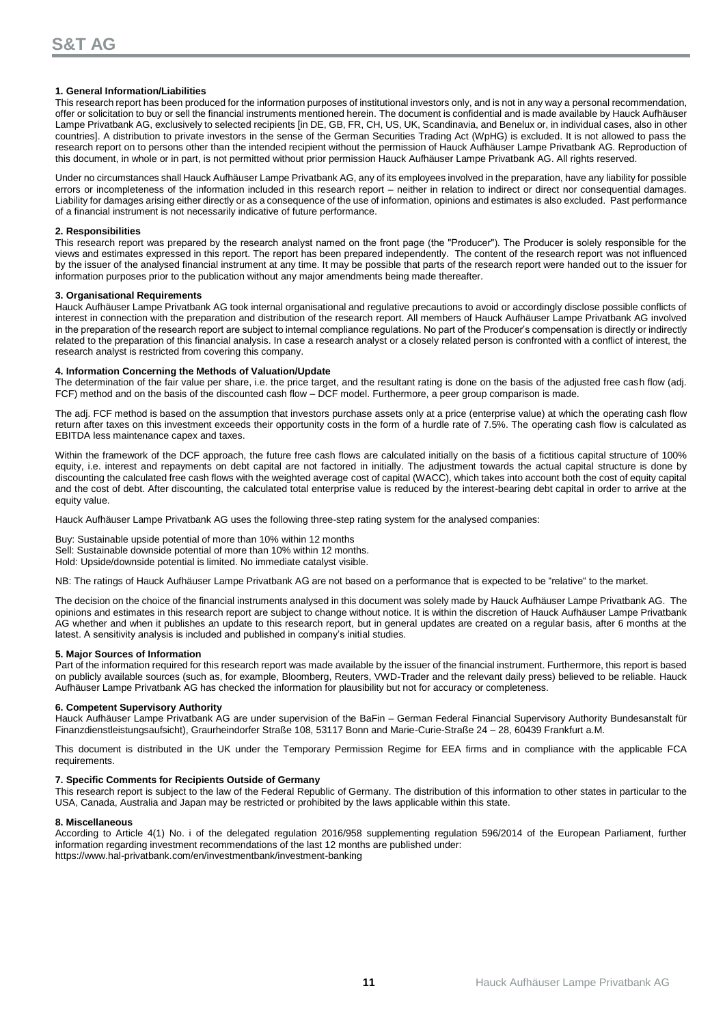### **1. General Information/Liabilities**

This research report has been produced for the information purposes of institutional investors only, and is not in any way a personal recommendation, offer or solicitation to buy or sell the financial instruments mentioned herein. The document is confidential and is made available by Hauck Aufhäuser Lampe Privatbank AG, exclusively to selected recipients [in DE, GB, FR, CH, US, UK, Scandinavia, and Benelux or, in individual cases, also in other countries]. A distribution to private investors in the sense of the German Securities Trading Act (WpHG) is excluded. It is not allowed to pass the research report on to persons other than the intended recipient without the permission of Hauck Aufhäuser Lampe Privatbank AG. Reproduction of this document, in whole or in part, is not permitted without prior permission Hauck Aufhäuser Lampe Privatbank AG. All rights reserved.

Under no circumstances shall Hauck Aufhäuser Lampe Privatbank AG, any of its employees involved in the preparation, have any liability for possible errors or incompleteness of the information included in this research report – neither in relation to indirect or direct nor consequential damages. Liability for damages arising either directly or as a consequence of the use of information, opinions and estimates is also excluded. Past performance of a financial instrument is not necessarily indicative of future performance.

#### **2. Responsibilities**

This research report was prepared by the research analyst named on the front page (the "Producer"). The Producer is solely responsible for the views and estimates expressed in this report. The report has been prepared independently. The content of the research report was not influenced by the issuer of the analysed financial instrument at any time. It may be possible that parts of the research report were handed out to the issuer for information purposes prior to the publication without any major amendments being made thereafter.

#### **3. Organisational Requirements**

Hauck Aufhäuser Lampe Privatbank AG took internal organisational and regulative precautions to avoid or accordingly disclose possible conflicts of interest in connection with the preparation and distribution of the research report. All members of Hauck Aufhäuser Lampe Privatbank AG involved in the preparation of the research report are subject to internal compliance regulations. No part of the Producer's compensation is directly or indirectly related to the preparation of this financial analysis. In case a research analyst or a closely related person is confronted with a conflict of interest, the research analyst is restricted from covering this company.

#### **4. Information Concerning the Methods of Valuation/Update**

The determination of the fair value per share, i.e. the price target, and the resultant rating is done on the basis of the adjusted free cash flow (adj. FCF) method and on the basis of the discounted cash flow – DCF model. Furthermore, a peer group comparison is made.

The adj. FCF method is based on the assumption that investors purchase assets only at a price (enterprise value) at which the operating cash flow return after taxes on this investment exceeds their opportunity costs in the form of a hurdle rate of 7.5%. The operating cash flow is calculated as EBITDA less maintenance capex and taxes.

Within the framework of the DCF approach, the future free cash flows are calculated initially on the basis of a fictitious capital structure of 100% equity, i.e. interest and repayments on debt capital are not factored in initially. The adjustment towards the actual capital structure is done by discounting the calculated free cash flows with the weighted average cost of capital (WACC), which takes into account both the cost of equity capital and the cost of debt. After discounting, the calculated total enterprise value is reduced by the interest-bearing debt capital in order to arrive at the equity value.

Hauck Aufhäuser Lampe Privatbank AG uses the following three-step rating system for the analysed companies:

Buy: Sustainable upside potential of more than 10% within 12 months Sell: Sustainable downside potential of more than 10% within 12 months.

Hold: Upside/downside potential is limited. No immediate catalyst visible.

NB: The ratings of Hauck Aufhäuser Lampe Privatbank AG are not based on a performance that is expected to be "relative" to the market.

The decision on the choice of the financial instruments analysed in this document was solely made by Hauck Aufhäuser Lampe Privatbank AG. The opinions and estimates in this research report are subject to change without notice. It is within the discretion of Hauck Aufhäuser Lampe Privatbank AG whether and when it publishes an update to this research report, but in general updates are created on a regular basis, after 6 months at the latest. A sensitivity analysis is included and published in company's initial studies.

#### **5. Major Sources of Information**

Part of the information required for this research report was made available by the issuer of the financial instrument. Furthermore, this report is based on publicly available sources (such as, for example, Bloomberg, Reuters, VWD-Trader and the relevant daily press) believed to be reliable. Hauck Aufhäuser Lampe Privatbank AG has checked the information for plausibility but not for accuracy or completeness.

### **6. Competent Supervisory Authority**

Hauck Aufhäuser Lampe Privatbank AG are under supervision of the BaFin – German Federal Financial Supervisory Authority Bundesanstalt für Finanzdienstleistungsaufsicht), Graurheindorfer Straße 108, 53117 Bonn and Marie-Curie-Straße 24 – 28, 60439 Frankfurt a.M.

This document is distributed in the UK under the Temporary Permission Regime for EEA firms and in compliance with the applicable FCA requirements.

### **7. Specific Comments for Recipients Outside of Germany**

This research report is subject to the law of the Federal Republic of Germany. The distribution of this information to other states in particular to the USA, Canada, Australia and Japan may be restricted or prohibited by the laws applicable within this state.

#### **8. Miscellaneous**

According to Article 4(1) No. i of the delegated regulation 2016/958 supplementing regulation 596/2014 of the European Parliament, further information regarding investment recommendations of the last 12 months are published under: <https://www.hal-privatbank.com/en/investmentbank/investment-banking>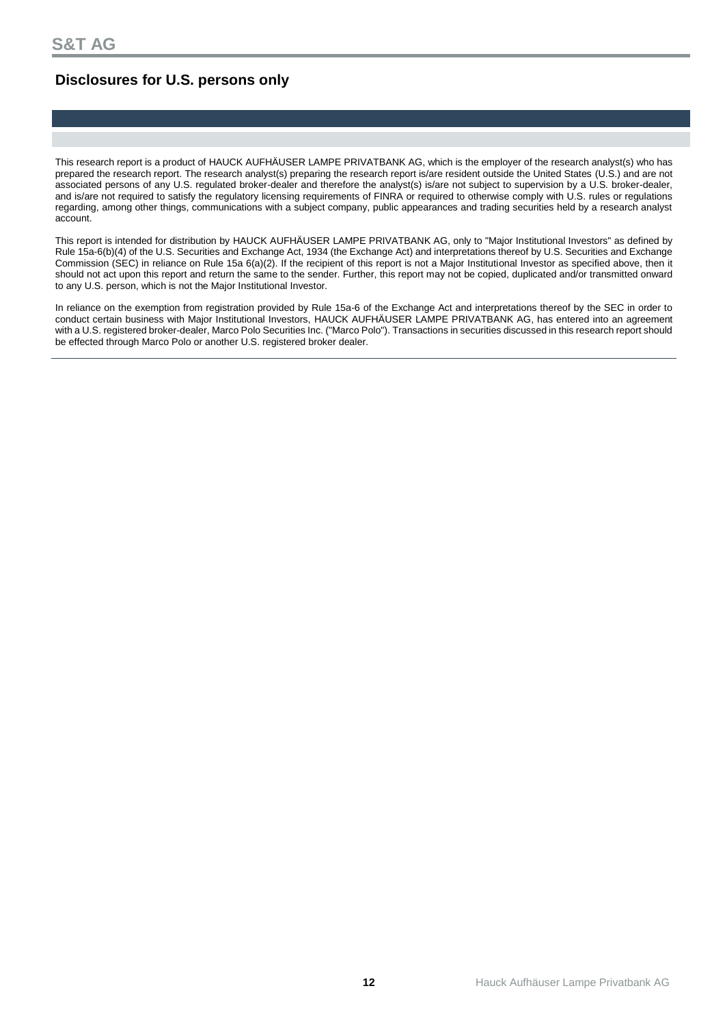## **Disclosures for U.S. persons only**

This research report is a product of HAUCK AUFHÄUSER LAMPE PRIVATBANK AG, which is the employer of the research analyst(s) who has prepared the research report. The research analyst(s) preparing the research report is/are resident outside the United States (U.S.) and are not associated persons of any U.S. regulated broker-dealer and therefore the analyst(s) is/are not subject to supervision by a U.S. broker-dealer, and is/are not required to satisfy the regulatory licensing requirements of FINRA or required to otherwise comply with U.S. rules or regulations regarding, among other things, communications with a subject company, public appearances and trading securities held by a research analyst account.

This report is intended for distribution by HAUCK AUFHÄUSER LAMPE PRIVATBANK AG, only to "Major Institutional Investors" as defined by Rule 15a-6(b)(4) of the U.S. Securities and Exchange Act, 1934 (the Exchange Act) and interpretations thereof by U.S. Securities and Exchange Commission (SEC) in reliance on Rule 15a 6(a)(2). If the recipient of this report is not a Major Institutional Investor as specified above, then it should not act upon this report and return the same to the sender. Further, this report may not be copied, duplicated and/or transmitted onward to any U.S. person, which is not the Major Institutional Investor.

In reliance on the exemption from registration provided by Rule 15a-6 of the Exchange Act and interpretations thereof by the SEC in order to conduct certain business with Major Institutional Investors, HAUCK AUFHÄUSER LAMPE PRIVATBANK AG, has entered into an agreement with a U.S. registered broker-dealer, Marco Polo Securities Inc. ("Marco Polo"). Transactions in securities discussed in this research report should be effected through Marco Polo or another U.S. registered broker dealer.